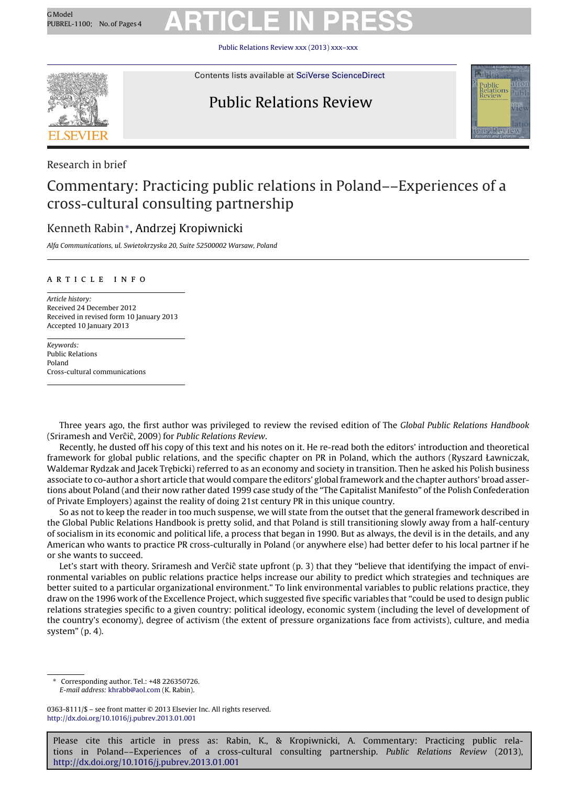# GModel TUBREL-1100; No.of Pages4 **ARTICLE IN PRESS**

Public Relations Review [xxx \(2013\) xxx–xxx](dx.doi.org/10.1016/j.pubrev.2013.01.001)



Contents lists available at SciVerse [ScienceDirect](http://www.sciencedirect.com/science/journal/03638111)

### Public Relations Review



### Research in brief

### Commentary: Practicing public relations in Poland––Experiences of a cross-cultural consulting partnership

### Kenneth Rabin∗, Andrzej Kropiwnicki

Alfa Communications, ul. Swietokrzyska 20, Suite 52500002 Warsaw, Poland

#### ARTICLE INFO

Article history: Received 24 December 2012 Received in revised form 10 January 2013 Accepted 10 January 2013

Keywords: Public Relations Poland Cross-cultural communications

Three years ago, the first author was privileged to review the revised edition of The Global Public Relations Handbook (Sriramesh and Verĉiĉ, 2009) for Public Relations Review.

Recently, he dusted off his copy of this text and his notes on it. He re-read both the editors' introduction and theoretical framework for global public relations, and the specific chapter on PR in Poland, which the authors (Ryszard Ławniczak, Waldemar Rydzak and Jacek Trebicki) referred to as an economy and society in transition. Then he asked his Polish business associate to co-author a short article that would compare the editors' global framework and the chapter authors' broad assertions about Poland (and their now rather dated 1999 case study of the "The Capitalist Manifesto" of the Polish Confederation of Private Employers) against the reality of doing 21st century PR in this unique country.

So as not to keep the reader in too much suspense, we will state from the outset that the general framework described in the Global Public Relations Handbook is pretty solid, and that Poland is still transitioning slowly away from a half-century of socialism in its economic and political life, a process that began in 1990. But as always, the devil is in the details, and any American who wants to practice PR cross-culturally in Poland (or anywhere else) had better defer to his local partner if he or she wants to succeed.

Let's start with theory. Sriramesh and Verĉiĉ state upfront (p. 3) that they "believe that identifying the impact of environmental variables on public relations practice helps increase our ability to predict which strategies and techniques are better suited to a particular organizational environment." To link environmental variables to public relations practice, they draw on the 1996 work of the Excellence Project, which suggested five specific variables that "could be used to design public relations strategies specific to a given country: political ideology, economic system (including the level of development of the country's economy), degree of activism (the extent of pressure organizations face from activists), culture, and media system" (p. 4).

Please cite this article in press as: Rabin, K., & Kropiwnicki, A. Commentary: Practicing public relations in Poland––Experiences of a cross-cultural consulting partnership. Public Relations Review (2013), [http://dx.doi.org/10.1016/j.pubrev.2013.01.001](dx.doi.org/10.1016/j.pubrev.2013.01.001)

<sup>∗</sup> Corresponding author. Tel.: +48 226350726. E-mail address: [khrabb@aol.com](mailto:khrabb@aol.com) (K. Rabin).

<sup>0363-8111/\$</sup> – see front matter © 2013 Elsevier Inc. All rights reserved. [http://dx.doi.org/10.1016/j.pubrev.2013.01.001](dx.doi.org/10.1016/j.pubrev.2013.01.001)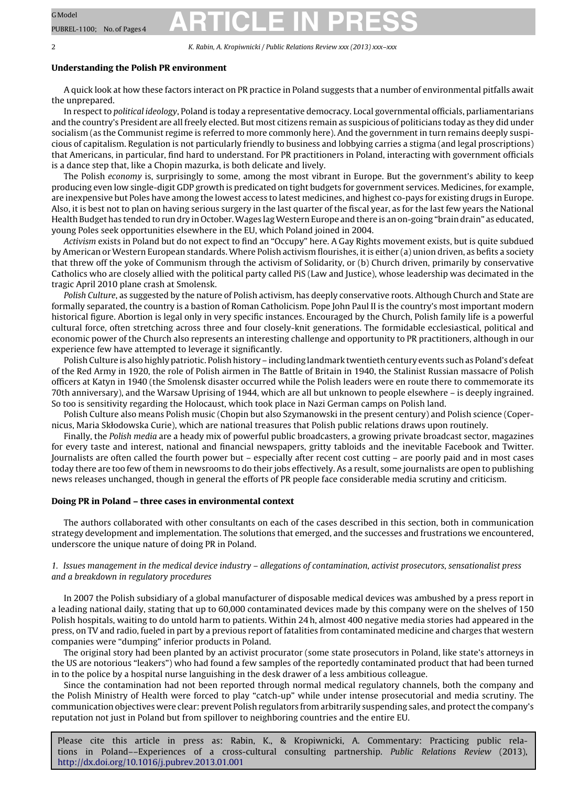## G Model 1100; No.of Pages 4 **ARTICLE IN PRESS**

2 K. Rabin, A. Kropiwnicki / Public Relations Review *xxx (2013) xxx–xxx*

### **Understanding the Polish PR environment**

A quick look at how these factors interact on PR practice in Poland suggests that a number of environmental pitfalls await the unprepared.

In respect to political ideology, Poland is today a representative democracy. Local governmental officials, parliamentarians and the country's President are all freely elected. But most citizens remain as suspicious of politicians today as they did under socialism (as the Communist regime is referred to more commonly here). And the government in turn remains deeply suspicious of capitalism. Regulation is not particularly friendly to business and lobbying carries a stigma (and legal proscriptions) that Americans, in particular, find hard to understand. For PR practitioners in Poland, interacting with government officials is a dance step that, like a Chopin mazurka, is both delicate and lively.

The Polish economy is, surprisingly to some, among the most vibrant in Europe. But the government's ability to keep producing even low single-digit GDP growth is predicated on tight budgets for government services. Medicines, for example, are inexpensive but Poles have among the lowest access to latest medicines, and highest co-pays for existing drugs in Europe. Also, it is best not to plan on having serious surgery in the last quarter of the fiscal year, as for the last few years the National Health Budget has tended to run dry in October. Wages lag Western Europe and there is an on-going "brain drain" as educated, young Poles seek opportunities elsewhere in the EU, which Poland joined in 2004.

Activism exists in Poland but do not expect to find an "Occupy" here. A Gay Rights movement exists, but is quite subdued by American or Western European standards. Where Polish activism flourishes, it is either (a) union driven, as befits a society that threw off the yoke of Communism through the activism of Solidarity, or (b) Church driven, primarily by conservative Catholics who are closely allied with the political party called PiS (Law and Justice), whose leadership was decimated in the tragic April 2010 plane crash at Smolensk.

Polish Culture, as suggested by the nature of Polish activism, has deeply conservative roots. Although Church and State are formally separated, the country is a bastion of Roman Catholicism. Pope John Paul II is the country's most important modern historical figure. Abortion is legal only in very specific instances. Encouraged by the Church, Polish family life is a powerful cultural force, often stretching across three and four closely-knit generations. The formidable ecclesiastical, political and economic power of the Church also represents an interesting challenge and opportunity to PR practitioners, although in our experience few have attempted to leverage it significantly.

Polish Culture is also highly patriotic. Polish history – including landmark twentieth century events such as Poland's defeat of the Red Army in 1920, the role of Polish airmen in The Battle of Britain in 1940, the Stalinist Russian massacre of Polish officers at Katyn in 1940 (the Smolensk disaster occurred while the Polish leaders were en route there to commemorate its 70th anniversary), and the Warsaw Uprising of 1944, which are all but unknown to people elsewhere – is deeply ingrained. So too is sensitivity regarding the Holocaust, which took place in Nazi German camps on Polish land.

Polish Culture also means Polish music (Chopin but also Szymanowski in the present century) and Polish science (Copernicus, Maria Skłodowska Curie), which are national treasures that Polish public relations draws upon routinely.

Finally, the Polish media are a heady mix of powerful public broadcasters, a growing private broadcast sector, magazines for every taste and interest, national and financial newspapers, gritty tabloids and the inevitable Facebook and Twitter. Journalists are often called the fourth power but – especially after recent cost cutting – are poorly paid and in most cases today there are too few of them in newsrooms to do their jobs effectively. As a result, some journalists are open to publishing news releases unchanged, though in general the efforts of PR people face considerable media scrutiny and criticism.

### **Doing PR in Poland – three cases in environmental context**

The authors collaborated with other consultants on each of the cases described in this section, both in communication strategy development and implementation. The solutions that emerged, and the successes and frustrations we encountered, underscore the unique nature of doing PR in Poland.

### 1. Issues management in the medical device industry – allegations of contamination, activist prosecutors, sensationalist press and a breakdown in regulatory procedures

In 2007 the Polish subsidiary of a global manufacturer of disposable medical devices was ambushed by a press report in a leading national daily, stating that up to 60,000 contaminated devices made by this company were on the shelves of 150 Polish hospitals, waiting to do untold harm to patients. Within 24 h, almost 400 negative media stories had appeared in the press, on TV and radio, fueled in part by a previous report of fatalities from contaminated medicine and charges that western companies were "dumping" inferior products in Poland.

The original story had been planted by an activist procurator (some state prosecutors in Poland, like state's attorneys in the US are notorious "leakers") who had found a few samples of the reportedly contaminated product that had been turned in to the police by a hospital nurse languishing in the desk drawer of a less ambitious colleague.

Since the contamination had not been reported through normal medical regulatory channels, both the company and the Polish Ministry of Health were forced to play "catch-up" while under intense prosecutorial and media scrutiny. The communication objectives were clear: prevent Polish regulators from arbitrarily suspending sales, and protect the company's reputation not just in Poland but from spillover to neighboring countries and the entire EU.

Please cite this article in press as: Rabin, K., & Kropiwnicki, A. Commentary: Practicing public relations in Poland––Experiences of a cross-cultural consulting partnership. Public Relations Review (2013), [http://dx.doi.org/10.1016/j.pubrev.2013.01.001](dx.doi.org/10.1016/j.pubrev.2013.01.001)